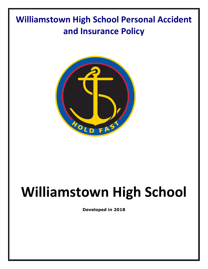## **Williamstown High School Personal Accident and Insurance Policy**



## **Williamstown High School**

**Developed in 2018**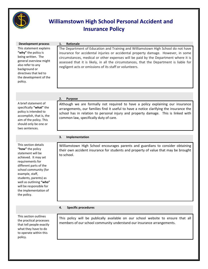

## **Williamstown High School Personal Accident and Insurance Policy**

| <b>Development process</b>                                                                                                                                                                                                                                                     | Rationale<br>1.                                                                                                                                                                                                                                                                                                                                                                                                     |
|--------------------------------------------------------------------------------------------------------------------------------------------------------------------------------------------------------------------------------------------------------------------------------|---------------------------------------------------------------------------------------------------------------------------------------------------------------------------------------------------------------------------------------------------------------------------------------------------------------------------------------------------------------------------------------------------------------------|
| This statement explains<br>"why" the policy is<br>being written. The<br>general overview might<br>also refer to any<br>background or<br>directives that led to<br>the development of the<br>policy.                                                                            | The Department of Education and Training and Williamstown High School do not have<br>insurance for accidental injuries or accidental property damage. However, in some<br>circumstances, medical or other expenses will be paid by the Department where it is<br>assessed that it is likely, in all the circumstances, that the Department is liable for<br>negligent acts or omissions of its staff or volunteers. |
|                                                                                                                                                                                                                                                                                | <b>Purpose</b><br>2.                                                                                                                                                                                                                                                                                                                                                                                                |
| A brief statement of<br>specifically "what" the<br>policy is intended to<br>accomplish, that is, the<br>aim of the policy. This<br>should only be one or<br>two sentences.                                                                                                     | Although we are formally not required to have a policy explaining our insurance<br>arrangements, our families find it useful to have a notice clarifying the insurance the<br>school has in relation to personal injury and property damage. This is linked with<br>common law, specifically duty of care.                                                                                                          |
|                                                                                                                                                                                                                                                                                | Implementation<br>3.                                                                                                                                                                                                                                                                                                                                                                                                |
| This section details                                                                                                                                                                                                                                                           |                                                                                                                                                                                                                                                                                                                                                                                                                     |
| "how" the policy<br>statement will be<br>achieved. It may set<br>requirements for<br>different parts of the<br>school community (for<br>example, staff,<br>students, parents) as<br>well as outlining "who"<br>will be responsible for<br>the implementation of<br>the policy. | Williamstown High School encourages parents and guardians to consider obtaining<br>their own accident insurance for students and property of value that may be brought<br>to school.                                                                                                                                                                                                                                |
|                                                                                                                                                                                                                                                                                | 4.<br><b>Specific procedures</b>                                                                                                                                                                                                                                                                                                                                                                                    |
|                                                                                                                                                                                                                                                                                |                                                                                                                                                                                                                                                                                                                                                                                                                     |
| This section outlines<br>the practical processes<br>that tell people exactly<br>what they have to do<br>to operate within this<br>policy.                                                                                                                                      | This policy will be publically available on our school website to ensure that all<br>members of our school community understand our insurance arrangements.                                                                                                                                                                                                                                                         |